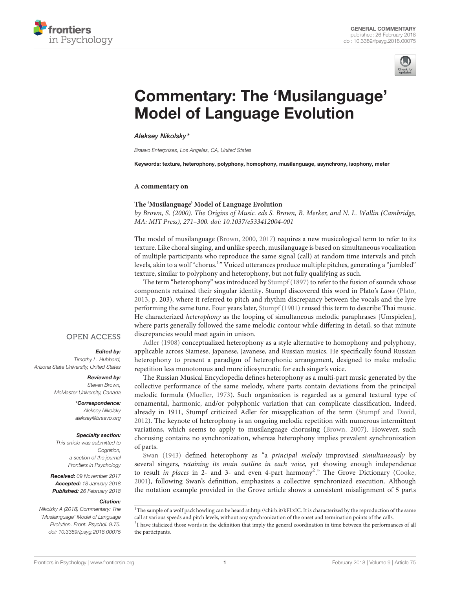



# [Commentary: The 'Musilanguage'](https://www.frontiersin.org/articles/10.3389/fpsyg.2018.00075/full) Model of Language Evolution

[Aleksey Nikolsky\\*](http://loop.frontiersin.org/people/189670/overview)

Braavo Enterprises, Los Angeles, CA, United States

Keywords: texture, heterophony, polyphony, homophony, musilanguage, asynchrony, isophony, meter

#### **A commentary on**

#### **The 'Musilanguage' Model of Language Evolution**

by Brown, S. (2000). The Origins of Music. eds S. Brown, B. Merker, and N. L. Wallin (Cambridge, MA: MIT Press), 271–300. doi: [10.1037/e533412004-001](https://doi.org/10.1037/e533412004-001)

The model of musilanguage [\(Brown, 2000,](#page-2-0) [2017\)](#page-2-1) requires a new musicological term to refer to its texture. Like choral singing, and unlike speech, musilanguage is based on simultaneous vocalization of multiple participants who reproduce the same signal (call) at random time intervals and pitch levels, akin to a wolf "chorus.<sup>1</sup>" Voiced utterances produce multiple pitches, generating a "jumbled" texture, similar to polyphony and heterophony, but not fully qualifying as such.

The term "heterophony" was introduced by [Stumpf \(1897\)](#page-3-0) to refer to the fusion of sounds whose components retained their singular identity. Stumpf discovered this word in Plato's Laws [\(Plato,](#page-3-1) [2013,](#page-3-1) p. 203), where it referred to pitch and rhythm discrepancy between the vocals and the lyre performing the same tune. Four years later, [Stumpf \(1901\)](#page-3-2) reused this term to describe Thai music. He characterized heterophony as the looping of simultaneous melodic paraphrases [Umspielen], where parts generally followed the same melodic contour while differing in detail, so that minute discrepancies would meet again in unison.

[Adler \(1908\)](#page-2-2) conceptualized heterophony as a style alternative to homophony and polyphony, applicable across Siamese, Japanese, Javanese, and Russian musics. He specifically found Russian heterophony to present a paradigm of heterophonic arrangement, designed to make melodic repetition less monotonous and more idiosyncratic for each singer's voice.

The Russian Musical Encyclopedia defines heterophony as a multi-part music generated by the collective performance of the same melody, where parts contain deviations from the principal melodic formula [\(Mueller, 1973\)](#page-2-3). Such organization is regarded as a general textural type of ornamental, harmonic, and/or polyphonic variation that can complicate classification. Indeed, already in 1911, Stumpf criticized Adler for misapplication of the term [\(Stumpf and David,](#page-3-3) [2012\)](#page-3-3). The keynote of heterophony is an ongoing melodic repetition with numerous intermittent variations, which seems to apply to musilanguage chorusing [\(Brown, 2007\)](#page-2-4). However, such chorusing contains no synchronization, whereas heterophony implies prevalent synchronization of parts.

[Swan \(1943\)](#page-3-4) defined heterophony as "a principal melody improvised simultaneously by several singers, retaining its main outline in each voice, yet showing enough independence to result in places in [2](#page-0-0)- and 3- and even 4-part harmony<sup>2</sup>." The Grove Dictionary [\(Cooke,](#page-2-5) [2001\)](#page-2-5), following Swan's definition, emphasizes a collective synchronized execution. Although the notation example provided in the Grove article shows a consistent misalignment of 5 parts

Nikolsky A (2018) Commentary: The 'Musilanguage' Model of Language Evolution. Front. Psychol. 9:75. doi: [10.3389/fpsyg.2018.00075](https://doi.org/10.3389/fpsyg.2018.00075)

# **OPEN ACCESS**

### Edited by:

Timothy L. Hubbard, Arizona State University, United States

#### Reviewed by:

Steven Brown, McMaster University, Canada

> \*Correspondence: Aleksey Nikolsky [aleksey@braavo.org](mailto:aleksey@braavo.org)

#### Specialty section:

This article was submitted to Cognition. a section of the journal Frontiers in Psychology

Received: 09 November 2017 Accepted: 18 January 2018 Published: 26 February 2018

#### Citation:

<span id="page-0-0"></span> $^1\rm{The}$  sample of a wolf pack howling can be heard at[:http://chirb.it/kFLxIC.](http://chirb.it/kFLxIC) It is characterized by the reproduction of the same call at various speeds and pitch levels, without any synchronization of the onset and termination points of the calls.  $21$  have italicized those words in the definition that imply the general coordination in time between the performances of all the participants.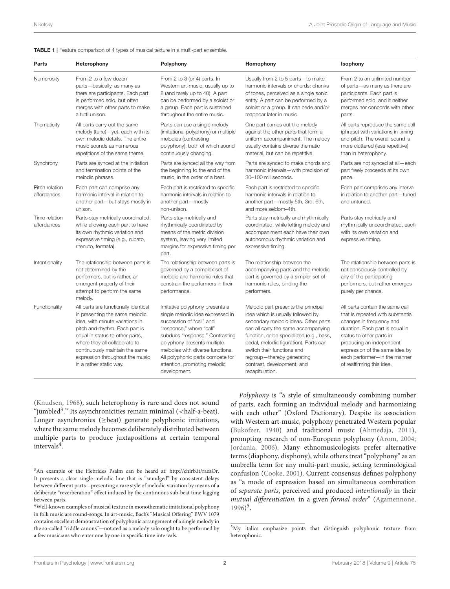#### <span id="page-1-3"></span>TABLE 1 | Feature comparison of 4 types of musical texture in a multi-part ensemble.

| Parts                         | Heterophony                                                                                                                                                                                                                                                                                                     | Polyphony                                                                                                                                                                                                                                                                                                            | Homophony                                                                                                                                                                                                                                                                                                                                                 | Isophony                                                                                                                                                                                                                                                                                   |
|-------------------------------|-----------------------------------------------------------------------------------------------------------------------------------------------------------------------------------------------------------------------------------------------------------------------------------------------------------------|----------------------------------------------------------------------------------------------------------------------------------------------------------------------------------------------------------------------------------------------------------------------------------------------------------------------|-----------------------------------------------------------------------------------------------------------------------------------------------------------------------------------------------------------------------------------------------------------------------------------------------------------------------------------------------------------|--------------------------------------------------------------------------------------------------------------------------------------------------------------------------------------------------------------------------------------------------------------------------------------------|
| Numerosity                    | From 2 to a few dozen<br>parts-basically, as many as<br>there are participants. Each part<br>is performed solo, but often<br>merges with other parts to make<br>a tutti unison.                                                                                                                                 | From 2 to 3 (or 4) parts. In<br>Western art-music, usually up to<br>8 (and rarely up to 40). A part<br>can be performed by a soloist or<br>a group. Each part is sustained<br>throughout the entire music.                                                                                                           | Usually from 2 to 5 parts-to make<br>harmonic intervals or chords: chunks<br>of tones, perceived as a single sonic<br>entity. A part can be performed by a<br>soloist or a group. It can cede and/or<br>reappear later in music.                                                                                                                          | From 2 to an unlimited number<br>of parts-as many as there are<br>participants. Each part is<br>performed solo, and it neither<br>merges nor concords with other<br>parts.                                                                                                                 |
| Thematicity                   | All parts carry out the same<br>melody (tune)-yet, each with its<br>own melodic details. The entire<br>music sounds as numerous<br>repetitions of the same theme.                                                                                                                                               | Parts can use a single melody<br>(imitational polyphony) or multiple<br>melodies (contrasting<br>polyphony), both of which sound<br>continuously changing.                                                                                                                                                           | One part carries out the melody<br>against the other parts that form a<br>uniform accompaniment. The melody<br>usually contains diverse thematic<br>material, but can be repetitive.                                                                                                                                                                      | All parts reproduce the same call<br>(phrase) with variations in timing<br>and pitch. The overall sound is<br>more cluttered (less repetitive)<br>than in heterophony.                                                                                                                     |
| Synchrony                     | Parts are synced at the initiation<br>and termination points of the<br>melodic phrases.                                                                                                                                                                                                                         | Parts are synced all the way from<br>the beginning to the end of the<br>music, in the order of a beat.                                                                                                                                                                                                               | Parts are synced to make chords and<br>harmonic intervals-with precision of<br>30-100 milliseconds.                                                                                                                                                                                                                                                       | Parts are not synced at all-each<br>part freely proceeds at its own<br>pace.                                                                                                                                                                                                               |
| Pitch relation<br>affordances | Each part can comprise any<br>harmonic interval in relation to<br>another part-but stays mostly in<br>unison.                                                                                                                                                                                                   | Each part is restricted to specific<br>harmonic intervals in relation to<br>another part-mostly<br>non-unison.                                                                                                                                                                                                       | Each part is restricted to specific<br>harmonic intervals in relation to<br>another part-mostly 5th, 3rd, 6th,<br>and more seldom-4th.                                                                                                                                                                                                                    | Each part comprises any interval<br>in relation to another part-tuned<br>and untuned.                                                                                                                                                                                                      |
| Time relation<br>affordances  | Parts stay metrically coordinated,<br>while allowing each part to have<br>its own rhythmic variation and<br>expressive timing (e.g., rubato,<br>ritenuto, fermata).                                                                                                                                             | Parts stay metrically and<br>rhythmically coordinated by<br>means of the metric division<br>system, leaving very limited<br>margins for expressive timing per<br>part.                                                                                                                                               | Parts stay metrically and rhythmically<br>coordinated, while letting melody and<br>accompaniment each have their own<br>autonomous rhythmic variation and<br>expressive timing.                                                                                                                                                                           | Parts stay metrically and<br>rhythmically uncoordinated, each<br>with its own variation and<br>expressive timing.                                                                                                                                                                          |
| Intentionality                | The relationship between parts is<br>not determined by the<br>performers, but is rather, an<br>emergent property of their<br>attempt to perform the same<br>melody.                                                                                                                                             | The relationship between parts is<br>governed by a complex set of<br>melodic and harmonic rules that<br>constrain the performers in their<br>performance.                                                                                                                                                            | The relationship between the<br>accompanying parts and the melodic<br>part is governed by a simpler set of<br>harmonic rules, binding the<br>performers.                                                                                                                                                                                                  | The relationship between parts is<br>not consciously controlled by<br>any of the participating<br>performers, but rather emerges<br>purely per chance.                                                                                                                                     |
| Functionality                 | All parts are functionally identical<br>in presenting the same melodic<br>idea, with minute variations in<br>pitch and rhythm. Each part is<br>equal in status to other parts,<br>where they all collaborate to<br>continuously maintain the same<br>expression throughout the music<br>in a rather static way. | Imitative polyphony presents a<br>single melodic idea expressed in<br>succession of "call" and<br>"response," where "call"<br>subdues "response." Contrasting<br>polyphony presents multiple<br>melodies with diverse functions.<br>All polyphonic parts compete for<br>attention, promoting melodic<br>development. | Melodic part presents the principal<br>idea which is usually followed by<br>secondary melodic ideas. Other parts<br>can all carry the same accompanying<br>function, or be specialized (e.g., bass,<br>pedal, melodic figuration). Parts can<br>switch their functions and<br>regroup-thereby generating<br>contrast, development, and<br>recapitulation. | All parts contain the same call<br>that is repeated with substantial<br>changes in frequency and<br>duration. Each part is equal in<br>status to other parts in<br>producing an independent<br>expression of the same idea by<br>each performer-in the manner<br>of reaffirming this idea. |

[\(Knudsen, 1968\)](#page-2-6), such heterophony is rare and does not sound "jumbled<sup>[3](#page-1-0)</sup>." Its asynchronicities remain minimal (<half-a-beat). Longer asynchronies (≥beat) generate polyphonic imitations, where the same melody becomes deliberately distributed between multiple parts to produce juxtapositions at certain temporal intervals<sup>[4](#page-1-1)</sup>.

Polyphony is "a style of simultaneously combining number of parts, each forming an individual melody and harmonizing with each other" (Oxford Dictionary). Despite its association with Western art-music, polyphony penetrated Western popular [\(Bukofzer, 1940\)](#page-2-7) and traditional music [\(Ahmedaja, 2011\)](#page-2-8), prompting research of non-European polyphony [\(Arom, 2004;](#page-2-9) [Jordania, 2006\)](#page-2-10). Many ethnomusicologists prefer alternative terms (diaphony, disphony), while others treat "polyphony" as an umbrella term for any multi-part music, setting terminological confusion [\(Cooke, 2001\)](#page-2-5). Current consensus defines polyphony as "a mode of expression based on simultaneous combination of separate parts, perceived and produced intentionally in their mutual differentiation, in a given formal order" [\(Agamennone,](#page-2-11) [1996\)](#page-2-11) [5](#page-1-2) .

<span id="page-1-0"></span><sup>3</sup>An example of the Hebrides Psalm can be heard at: [http://chirb.it/raeaOr.](http://chirb.it/raeaOr) It presents a clear single melodic line that is "smudged" by consistent delays between different parts—presenting a rare style of melodic variation by means of a deliberate "reverberation" effect induced by the continuous sub-beat time lagging between parts.

<span id="page-1-1"></span> ${}^{4}\mathrm{Well}$  -known examples of musical texture in monothematic imitational polyphony in folk music are round-songs. In art-music, Bach's "Musical Offering" BWV 1079 contains excellent demonstration of polyphonic arrangement of a single melody in the so-called "riddle canons"—notated as a melody solo ought to be performed by a few musicians who enter one by one in specific time intervals.

<span id="page-1-2"></span><sup>&</sup>lt;sup>5</sup>My italics emphasize points that distinguish polyphonic texture from heterophonic.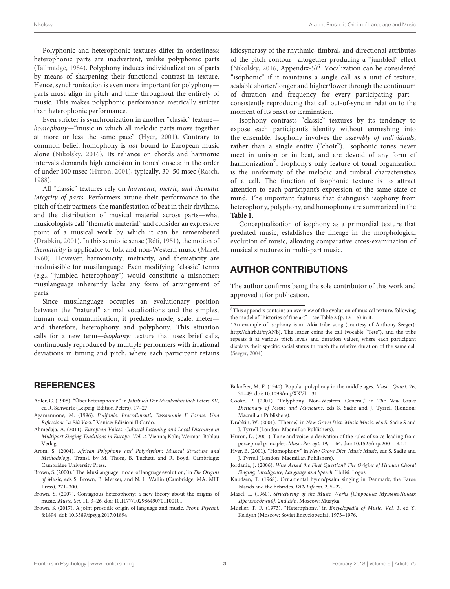Polyphonic and heterophonic textures differ in orderliness: heterophonic parts are inadvertent, unlike polyphonic parts [\(Tallmadge, 1984\)](#page-3-5). Polyphony induces individualization of parts by means of sharpening their functional contrast in texture. Hence, synchronization is even more important for polyphony parts must align in pitch and time throughout the entirety of music. This makes polyphonic performance metrically stricter than heterophonic performance.

Even stricter is synchronization in another "classic" texture homophony—"music in which all melodic parts move together at more or less the same pace" [\(Hyer, 2001\)](#page-2-12). Contrary to common belief, homophony is not bound to European music alone [\(Nikolsky, 2016\)](#page-3-6). Its reliance on chords and harmonic intervals demands high concision in tones' onsets: in the order of under 100 msec [\(Huron, 2001\)](#page-2-13), typically, 30–50 msec [\(Rasch,](#page-3-7) [1988\)](#page-3-7).

All "classic" textures rely on harmonic, metric, and thematic integrity of parts. Performers attune their performance to the pitch of their partners, the manifestation of beat in their rhythms, and the distribution of musical material across parts—what musicologists call "thematic material" and consider an expressive point of a musical work by which it can be remembered [\(Drabkin, 2001\)](#page-2-14). In this semiotic sense [\(Réti, 1951\)](#page-3-8), the notion of thematicity is applicable to folk and non-Western music [\(Mazel,](#page-2-15) [1960\)](#page-2-15). However, harmonicity, metricity, and thematicity are inadmissible for musilanguage. Even modifying "classic" terms (e.g., "jumbled heterophony") would constitute a misnomer: musilanguage inherently lacks any form of arrangement of parts.

Since musilanguage occupies an evolutionary position between the "natural" animal vocalizations and the simplest human oral communication, it predates mode, scale, meter and therefore, heterophony and polyphony. This situation calls for a new term—isophony: texture that uses brief calls, continuously reproduced by multiple performers with irrational deviations in timing and pitch, where each participant retains idiosyncrasy of the rhythmic, timbral, and directional attributes of the pitch contour—altogether producing a "jumbled" effect [\(Nikolsky, 2016,](#page-3-6) Appendix-5)<sup>6</sup>. Vocalization can be considered "isophonic" if it maintains a single call as a unit of texture, scalable shorter/longer and higher/lower through the continuum of duration and frequency for every participating part consistently reproducing that call out-of-sync in relation to the moment of its onset or termination.

Isophony contrasts "classic" textures by its tendency to expose each participant's identity without enmeshing into the ensemble. Isophony involves the assembly of individuals, rather than a single entity ("choir"). Isophonic tones never meet in unison or in beat, and are devoid of any form of harmonization<sup>7</sup>. Isophony's only feature of tonal organization is the uniformity of the melodic and timbral characteristics of a call. The function of isophonic texture is to attract attention to each participant's expression of the same state of mind. The important features that distinguish isophony from heterophony, polyphony, and homophony are summarized in the **[Table 1](#page-1-3)**.

Conceptualization of isophony as a primordial texture that predated music, establishes the lineage in the morphological evolution of music, allowing comparative cross-examination of musical structures in multi-part music.

# AUTHOR CONTRIBUTIONS

The author confirms being the sole contributor of this work and approved it for publication.

# **REFERENCES**

- <span id="page-2-2"></span>Adler, G. (1908). "Über heterophonie," in Jahrbuch Der Musikbibliothek Peters XV, ed R. Schwartz (Leipzig: Edition Peters), 17–27.
- <span id="page-2-11"></span>Agamennone, M. (1996). Polifonie. Procedimenti, Tassonomie E Forme: Una Riflessione "a Più Voci." Venice: Edizioni Il Cardo.
- <span id="page-2-8"></span>Ahmedaja, A. (2011). European Voices: Cultural Listening and Local Discourse in Multipart Singing Traditions in Europe, Vol. 2. Vienna; Koln; Weimar: Böhlau Verlag.
- <span id="page-2-9"></span>Arom, S. (2004). African Polyphony and Polyrhythm: Musical Structure and Methodology. Transl. by M. Thom, B. Tuckett, and R. Boyd. Cambridge: Cambridge University Press.
- <span id="page-2-0"></span>Brown, S. (2000). "The 'Musilanguage' model of language evolution," in The Origins of Music, eds S. Brown, B. Merker, and N. L. Wallin (Cambridge, MA: MIT Press), 271–300.
- <span id="page-2-4"></span>Brown, S. (2007). Contagious heterophony: a new theory about the origins of music. Music. Sci. 11, 3–26. doi: [10.1177/102986490701100101](https://doi.org/10.1177/102986490701100101)
- <span id="page-2-1"></span>Brown, S. (2017). A joint prosodic origin of language and music. Front. Psychol. 8:1894. doi: [10.3389/fpsyg.2017.01894](https://doi.org/10.3389/fpsyg.2017.01894)
- <span id="page-2-7"></span>Bukofzer, M. F. (1940). Popular polyphony in the middle ages. Music. Quart. 26, 31–49. doi: [10.1093/mq/XXVI.1.31](https://doi.org/10.1093/mq/XXVI.1.31)
- <span id="page-2-5"></span>Cooke, P. (2001). "Polyphony. Non-Western. General," in The New Grove Dictionary of Music and Musicians, eds S. Sadie and J. Tyrrell (London: Macmillan Publishers).
- <span id="page-2-14"></span>Drabkin, W. (2001). "Theme," in New Grove Dict. Music Music, eds S. Sadie S and J. Tyrrell (London: Macmillan Publishers).
- <span id="page-2-13"></span>Huron, D. (2001). Tone and voice: a derivation of the rules of voice-leading from perceptual principles. Music Percept. 19, 1–64. doi: [10.1525/mp.2001.19.1.1](https://doi.org/10.1525/mp.2001.19.1.1)
- <span id="page-2-12"></span>Hyer, B. (2001). "Homophony," in New Grove Dict. Music Music, eds S. Sadie and J. Tyrrell (London: Macmillan Publishers).
- <span id="page-2-10"></span>Jordania, J. (2006). Who Asked the First Question? The Origins of Human Choral Singing, Intelligence, Language and Speech. Tbilisi: Logos.
- <span id="page-2-6"></span>Knudsen, T. (1968). Ornamental hymn/psalm singing in Denmark, the Faroe Islands and the hebrides. DFS Inform. 2, 5–22.
- <span id="page-2-15"></span>Mazel, L. (1960). Structuring of the Music Works [Cmpoeниe MyзыкаЛьныx Пpoизвeдeний], 2nd Edn. Moscow: Muzyka.
- <span id="page-2-3"></span>Mueller, T. F. (1973). "Heterophony," in Encyclopedia of Music, Vol. 1, ed Y. Keldysh (Moscow: Soviet Encyclopedia), 1973–1976.

 $^6\!$  This appendix contains an overview of the evolution of musical texture, following the model of "histories of fine art"—see Table 2 (p. 13–16) in it.

<sup>7</sup>An example of isophony is an Akia tribe song (courtesy of Anthony Seeger): [http://chirb.it/ryANbJ.](http://chirb.it/ryANbJ) The leader coins the call (vocable "Tete"), and the tribe repeats it at various pitch levels and duration values, where each participant displays their specific social status through the relative duration of the same call [\(Seeger, 2004\)](#page-3-9).